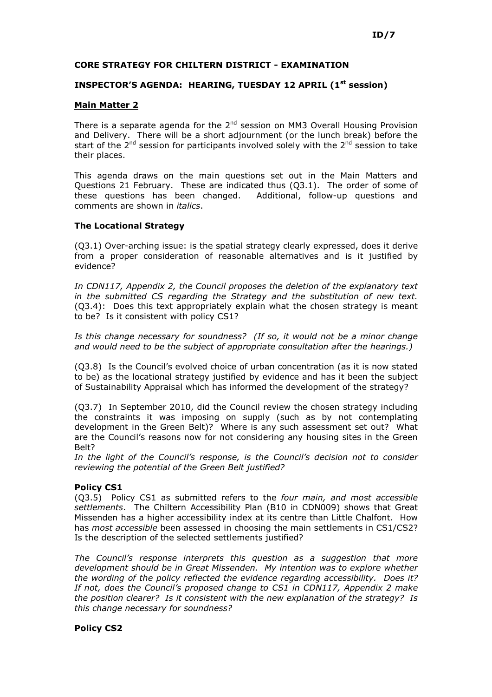## CORE STRATEGY FOR CHILTERN DISTRICT - EXAMINATION

# INSPECTOR'S AGENDA: HEARING, TUESDAY 12 APRIL (1<sup>st</sup> session)

### Main Matter 2

There is a separate agenda for the  $2<sup>nd</sup>$  session on MM3 Overall Housing Provision and Delivery. There will be a short adjournment (or the lunch break) before the start of the 2<sup>nd</sup> session for participants involved solely with the 2<sup>nd</sup> session to take their places.

This agenda draws on the main questions set out in the Main Matters and Questions 21 February. These are indicated thus (Q3.1). The order of some of these questions has been changed. Additional, follow-up questions and comments are shown in italics.

### The Locational Strategy

(Q3.1) Over-arching issue: is the spatial strategy clearly expressed, does it derive from a proper consideration of reasonable alternatives and is it justified by evidence?

In CDN117, Appendix 2, the Council proposes the deletion of the explanatory text in the submitted CS regarding the Strategy and the substitution of new text. (Q3.4): Does this text appropriately explain what the chosen strategy is meant to be? Is it consistent with policy CS1?

Is this change necessary for soundness? (If so, it would not be a minor change and would need to be the subject of appropriate consultation after the hearings.)

(Q3.8) Is the Council's evolved choice of urban concentration (as it is now stated to be) as the locational strategy justified by evidence and has it been the subject of Sustainability Appraisal which has informed the development of the strategy?

(Q3.7) In September 2010, did the Council review the chosen strategy including the constraints it was imposing on supply (such as by not contemplating development in the Green Belt)? Where is any such assessment set out? What are the Council's reasons now for not considering any housing sites in the Green Belt?

In the light of the Council's response, is the Council's decision not to consider reviewing the potential of the Green Belt justified?

# Policy CS1

(Q3.5) Policy CS1 as submitted refers to the four main, and most accessible settlements. The Chiltern Accessibility Plan (B10 in CDN009) shows that Great Missenden has a higher accessibility index at its centre than Little Chalfont. How has most accessible been assessed in choosing the main settlements in CS1/CS2? Is the description of the selected settlements justified?

The Council's response interprets this question as a suggestion that more development should be in Great Missenden. My intention was to explore whether the wording of the policy reflected the evidence regarding accessibility. Does it? If not, does the Council's proposed change to CS1 in CDN117, Appendix 2 make the position clearer? Is it consistent with the new explanation of the strategy? Is this change necessary for soundness?

#### Policy CS2